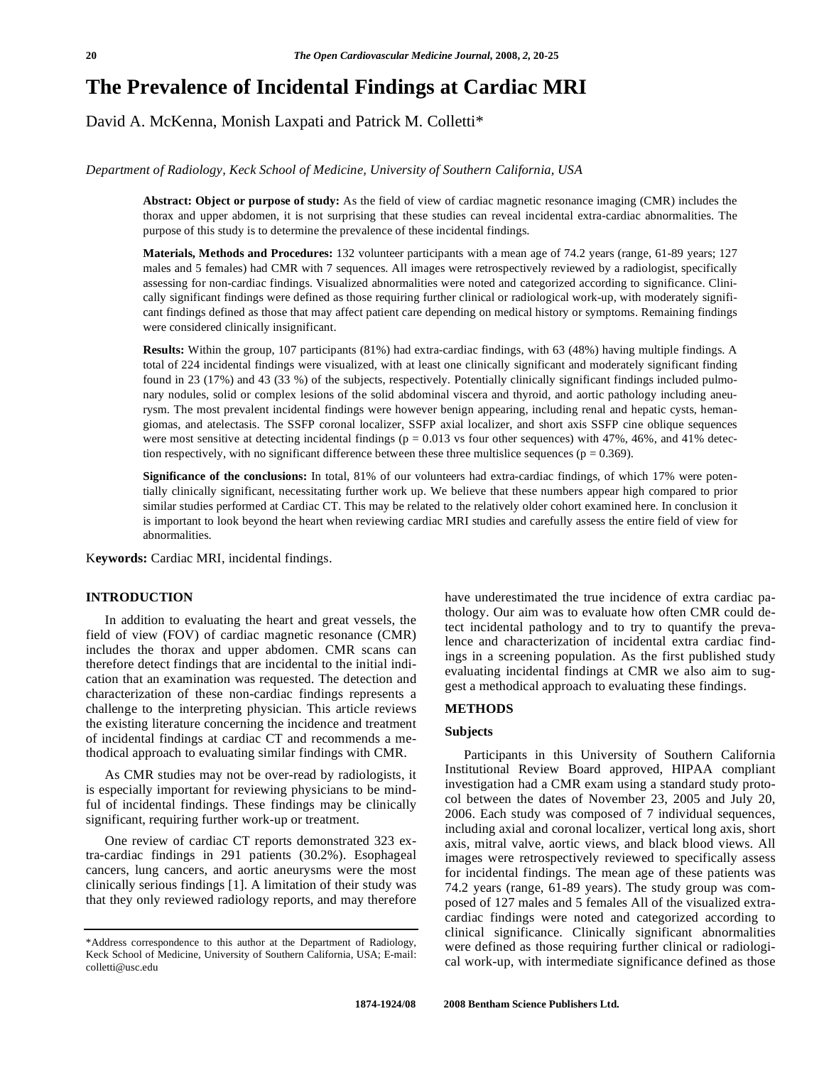# **The Prevalence of Incidental Findings at Cardiac MRI**

David A. McKenna, Monish Laxpati and Patrick M. Colletti\*

# *Department of Radiology, Keck School of Medicine, University of Southern California, USA*

**Abstract: Object or purpose of study:** As the field of view of cardiac magnetic resonance imaging (CMR) includes the thorax and upper abdomen, it is not surprising that these studies can reveal incidental extra-cardiac abnormalities. The purpose of this study is to determine the prevalence of these incidental findings.

**Materials, Methods and Procedures:** 132 volunteer participants with a mean age of 74.2 years (range, 61-89 years; 127 males and 5 females) had CMR with 7 sequences. All images were retrospectively reviewed by a radiologist, specifically assessing for non-cardiac findings. Visualized abnormalities were noted and categorized according to significance. Clinically significant findings were defined as those requiring further clinical or radiological work-up, with moderately significant findings defined as those that may affect patient care depending on medical history or symptoms. Remaining findings were considered clinically insignificant.

**Results:** Within the group, 107 participants (81%) had extra-cardiac findings, with 63 (48%) having multiple findings. A total of 224 incidental findings were visualized, with at least one clinically significant and moderately significant finding found in 23 (17%) and 43 (33 %) of the subjects, respectively. Potentially clinically significant findings included pulmonary nodules, solid or complex lesions of the solid abdominal viscera and thyroid, and aortic pathology including aneurysm. The most prevalent incidental findings were however benign appearing, including renal and hepatic cysts, hemangiomas, and atelectasis. The SSFP coronal localizer, SSFP axial localizer, and short axis SSFP cine oblique sequences were most sensitive at detecting incidental findings ( $p = 0.013$  vs four other sequences) with 47%, 46%, and 41% detection respectively, with no significant difference between these three multislice sequences ( $p = 0.369$ ).

**Significance of the conclusions:** In total, 81% of our volunteers had extra-cardiac findings, of which 17% were potentially clinically significant, necessitating further work up. We believe that these numbers appear high compared to prior similar studies performed at Cardiac CT. This may be related to the relatively older cohort examined here. In conclusion it is important to look beyond the heart when reviewing cardiac MRI studies and carefully assess the entire field of view for abnormalities.

K**eywords:** Cardiac MRI, incidental findings.

#### **INTRODUCTION**

 In addition to evaluating the heart and great vessels, the field of view (FOV) of cardiac magnetic resonance (CMR) includes the thorax and upper abdomen. CMR scans can therefore detect findings that are incidental to the initial indication that an examination was requested. The detection and characterization of these non-cardiac findings represents a challenge to the interpreting physician. This article reviews the existing literature concerning the incidence and treatment of incidental findings at cardiac CT and recommends a methodical approach to evaluating similar findings with CMR.

 As CMR studies may not be over-read by radiologists, it is especially important for reviewing physicians to be mindful of incidental findings. These findings may be clinically significant, requiring further work-up or treatment.

 One review of cardiac CT reports demonstrated 323 extra-cardiac findings in 291 patients (30.2%). Esophageal cancers, lung cancers, and aortic aneurysms were the most clinically serious findings [1]. A limitation of their study was that they only reviewed radiology reports, and may therefore have underestimated the true incidence of extra cardiac pathology. Our aim was to evaluate how often CMR could detect incidental pathology and to try to quantify the prevalence and characterization of incidental extra cardiac findings in a screening population. As the first published study evaluating incidental findings at CMR we also aim to suggest a methodical approach to evaluating these findings.

#### **METHODS**

# **Subjects**

 Participants in this University of Southern California Institutional Review Board approved, HIPAA compliant investigation had a CMR exam using a standard study protocol between the dates of November 23, 2005 and July 20, 2006. Each study was composed of 7 individual sequences, including axial and coronal localizer, vertical long axis, short axis, mitral valve, aortic views, and black blood views. All images were retrospectively reviewed to specifically assess for incidental findings. The mean age of these patients was 74.2 years (range, 61-89 years). The study group was composed of 127 males and 5 females All of the visualized extracardiac findings were noted and categorized according to clinical significance. Clinically significant abnormalities were defined as those requiring further clinical or radiological work-up, with intermediate significance defined as those

<sup>\*</sup>Address correspondence to this author at the Department of Radiology, Keck School of Medicine, University of Southern California, USA; E-mail: colletti@usc.edu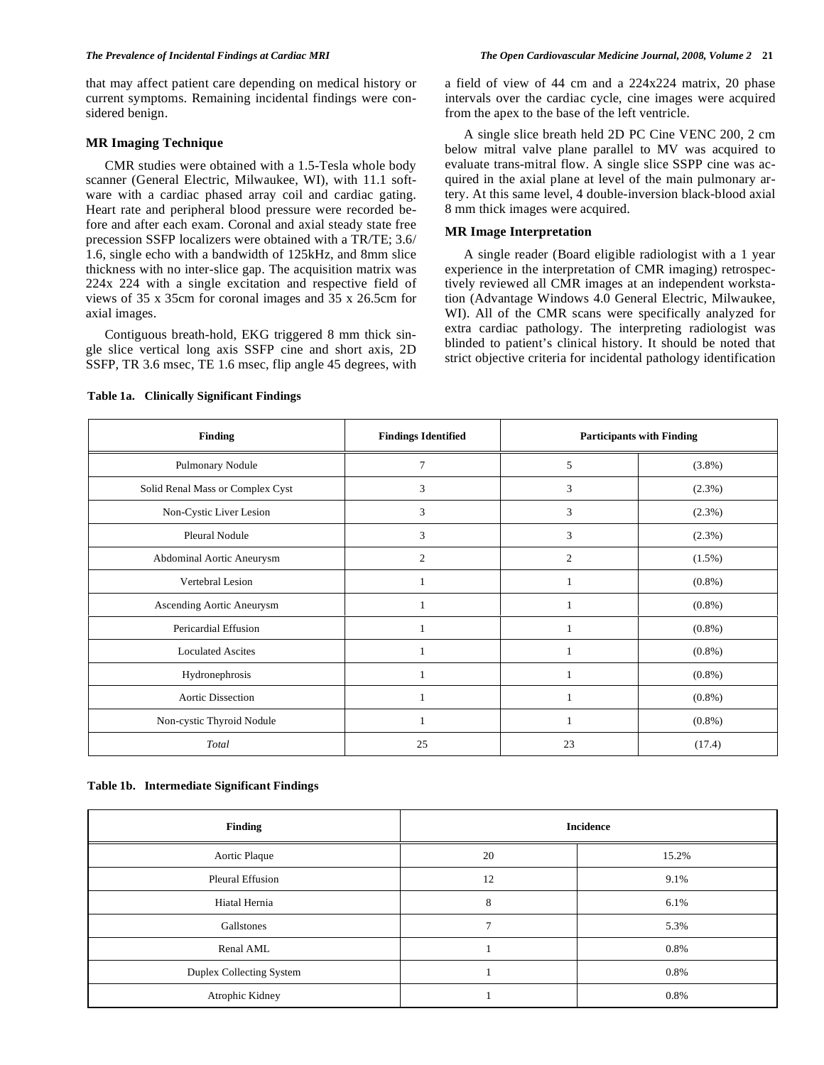that may affect patient care depending on medical history or current symptoms. Remaining incidental findings were considered benign.

#### **MR Imaging Technique**

 CMR studies were obtained with a 1.5-Tesla whole body scanner (General Electric, Milwaukee, WI), with 11.1 software with a cardiac phased array coil and cardiac gating. Heart rate and peripheral blood pressure were recorded before and after each exam. Coronal and axial steady state free precession SSFP localizers were obtained with a TR/TE; 3.6/ 1.6, single echo with a bandwidth of 125kHz, and 8mm slice thickness with no inter-slice gap. The acquisition matrix was 224x 224 with a single excitation and respective field of views of 35 x 35cm for coronal images and 35 x 26.5cm for axial images.

 Contiguous breath-hold, EKG triggered 8 mm thick single slice vertical long axis SSFP cine and short axis, 2D SSFP, TR 3.6 msec, TE 1.6 msec, flip angle 45 degrees, with a field of view of 44 cm and a 224x224 matrix, 20 phase intervals over the cardiac cycle, cine images were acquired from the apex to the base of the left ventricle.

 A single slice breath held 2D PC Cine VENC 200, 2 cm below mitral valve plane parallel to MV was acquired to evaluate trans-mitral flow. A single slice SSPP cine was acquired in the axial plane at level of the main pulmonary artery. At this same level, 4 double-inversion black-blood axial 8 mm thick images were acquired.

#### **MR Image Interpretation**

 A single reader (Board eligible radiologist with a 1 year experience in the interpretation of CMR imaging) retrospectively reviewed all CMR images at an independent workstation (Advantage Windows 4.0 General Electric, Milwaukee, WI). All of the CMR scans were specifically analyzed for extra cardiac pathology. The interpreting radiologist was blinded to patient's clinical history. It should be noted that strict objective criteria for incidental pathology identification

| <b>Finding</b>                   | <b>Findings Identified</b> |                | <b>Participants with Finding</b> |  |
|----------------------------------|----------------------------|----------------|----------------------------------|--|
| Pulmonary Nodule                 | 7                          | 5              | $(3.8\%)$                        |  |
| Solid Renal Mass or Complex Cyst | 3                          | 3              | $(2.3\%)$                        |  |
| Non-Cystic Liver Lesion          | 3                          | 3              | (2.3%)                           |  |
| Pleural Nodule                   | 3                          | 3              | (2.3%)                           |  |
| Abdominal Aortic Aneurysm        | 2                          | $\overline{2}$ | $(1.5\%)$                        |  |
| Vertebral Lesion                 |                            |                | $(0.8\%)$                        |  |
| Ascending Aortic Aneurysm        |                            |                | $(0.8\%)$                        |  |
| Pericardial Effusion             |                            |                | $(0.8\%)$                        |  |
| <b>Loculated Ascites</b>         |                            |                | $(0.8\%)$                        |  |
| Hydronephrosis                   |                            |                | $(0.8\%)$                        |  |
| <b>Aortic Dissection</b>         |                            |                | $(0.8\%)$                        |  |
| Non-cystic Thyroid Nodule        | 1                          |                | $(0.8\%)$                        |  |
| Total                            | 25                         | 23             | (17.4)                           |  |

**Table 1a. Clinically Significant Findings** 

### **Table 1b. Intermediate Significant Findings**

| <b>Finding</b>           | <b>Incidence</b> |       |
|--------------------------|------------------|-------|
| Aortic Plaque            | 20               | 15.2% |
| <b>Pleural Effusion</b>  | 12               | 9.1%  |
| Hiatal Hernia            | 8                | 6.1%  |
| Gallstones               | $\mathbf{r}$     | 5.3%  |
| Renal AML                |                  | 0.8%  |
| Duplex Collecting System |                  | 0.8%  |
| Atrophic Kidney          |                  | 0.8%  |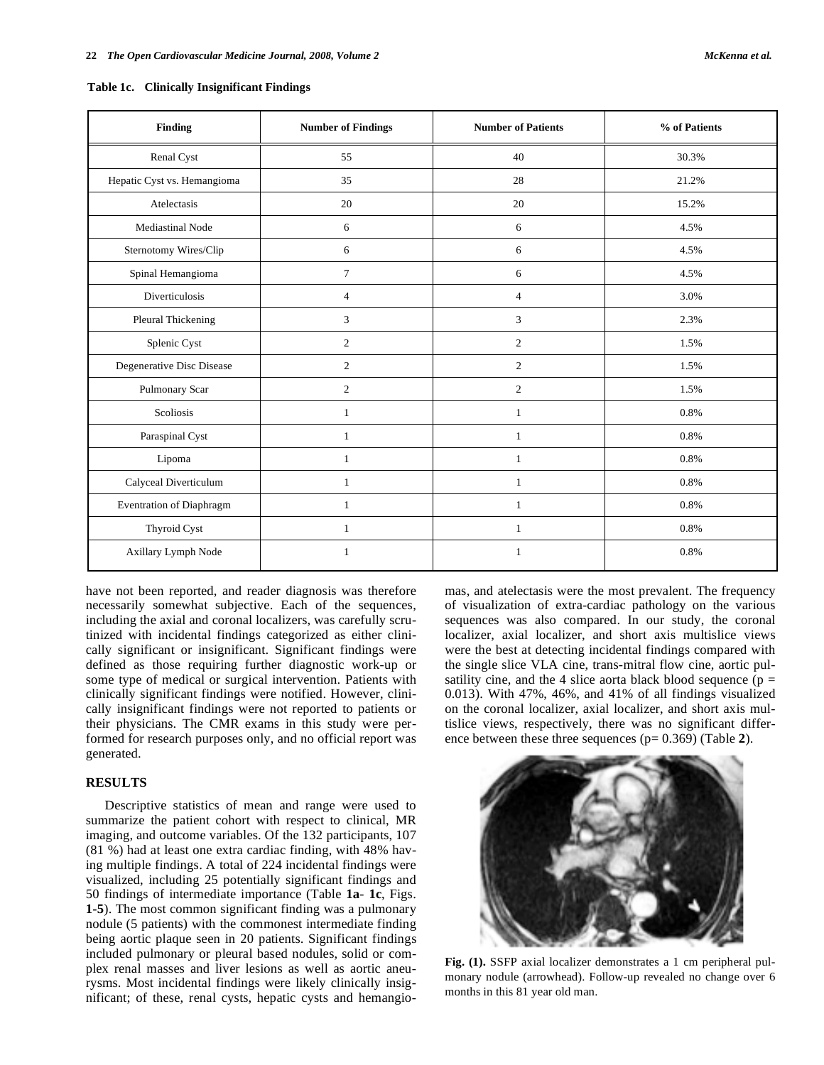| <b>Finding</b>              | <b>Number of Findings</b> | <b>Number of Patients</b> | % of Patients |
|-----------------------------|---------------------------|---------------------------|---------------|
| Renal Cyst                  | 55                        | 40                        | 30.3%         |
| Hepatic Cyst vs. Hemangioma | 35                        | 28                        | 21.2%         |
| Atelectasis                 | 20                        | 20                        | 15.2%         |
| Mediastinal Node            | 6                         | 6                         | 4.5%          |
| Sternotomy Wires/Clip       | 6                         | 6                         | 4.5%          |
| Spinal Hemangioma           | $\overline{7}$            | 6                         | 4.5%          |
| <b>Diverticulosis</b>       | $\overline{4}$            | $\overline{4}$            | 3.0%          |
| Pleural Thickening          | 3                         | 3                         | 2.3%          |
| Splenic Cyst                | $\overline{c}$            | 2                         | 1.5%          |
| Degenerative Disc Disease   | $\overline{c}$            | 2                         | 1.5%          |
| Pulmonary Scar              | $\overline{c}$            | 2                         | 1.5%          |
| Scoliosis                   | $\mathbf{1}$              | $\mathbf{1}$              | 0.8%          |
| Paraspinal Cyst             | $\mathbf{1}$              | $\mathbf{1}$              | 0.8%          |
| Lipoma                      | $\mathbf{1}$              | $\mathbf{1}$              | 0.8%          |
| Calyceal Diverticulum       | 1                         | $\mathbf{1}$              | 0.8%          |
| Eventration of Diaphragm    | 1                         | 1                         | 0.8%          |
| Thyroid Cyst                | $\mathbf{1}$              | $\mathbf{1}$              | 0.8%          |
| Axillary Lymph Node         | 1                         | $\mathbf{1}$              | 0.8%          |
|                             |                           |                           |               |

**Table 1c. Clinically Insignificant Findings** 

have not been reported, and reader diagnosis was therefore necessarily somewhat subjective. Each of the sequences, including the axial and coronal localizers, was carefully scrutinized with incidental findings categorized as either clinically significant or insignificant. Significant findings were defined as those requiring further diagnostic work-up or some type of medical or surgical intervention. Patients with clinically significant findings were notified. However, clinically insignificant findings were not reported to patients or their physicians. The CMR exams in this study were performed for research purposes only, and no official report was generated.

#### **RESULTS**

 Descriptive statistics of mean and range were used to summarize the patient cohort with respect to clinical, MR imaging, and outcome variables. Of the 132 participants, 107 (81 %) had at least one extra cardiac finding, with 48% having multiple findings. A total of 224 incidental findings were visualized, including 25 potentially significant findings and 50 findings of intermediate importance (Table **1a**- **1c**, Figs. **1-5**). The most common significant finding was a pulmonary nodule (5 patients) with the commonest intermediate finding being aortic plaque seen in 20 patients. Significant findings included pulmonary or pleural based nodules, solid or complex renal masses and liver lesions as well as aortic aneurysms. Most incidental findings were likely clinically insignificant; of these, renal cysts, hepatic cysts and hemangiomas, and atelectasis were the most prevalent. The frequency of visualization of extra-cardiac pathology on the various sequences was also compared. In our study, the coronal localizer, axial localizer, and short axis multislice views were the best at detecting incidental findings compared with the single slice VLA cine, trans-mitral flow cine, aortic pulsatility cine, and the 4 slice aorta black blood sequence ( $p =$ 0.013). With 47%, 46%, and 41% of all findings visualized on the coronal localizer, axial localizer, and short axis multislice views, respectively, there was no significant difference between these three sequences (p= 0.369) (Table **2**).



**Fig. (1).** SSFP axial localizer demonstrates a 1 cm peripheral pulmonary nodule (arrowhead). Follow-up revealed no change over 6 months in this 81 year old man.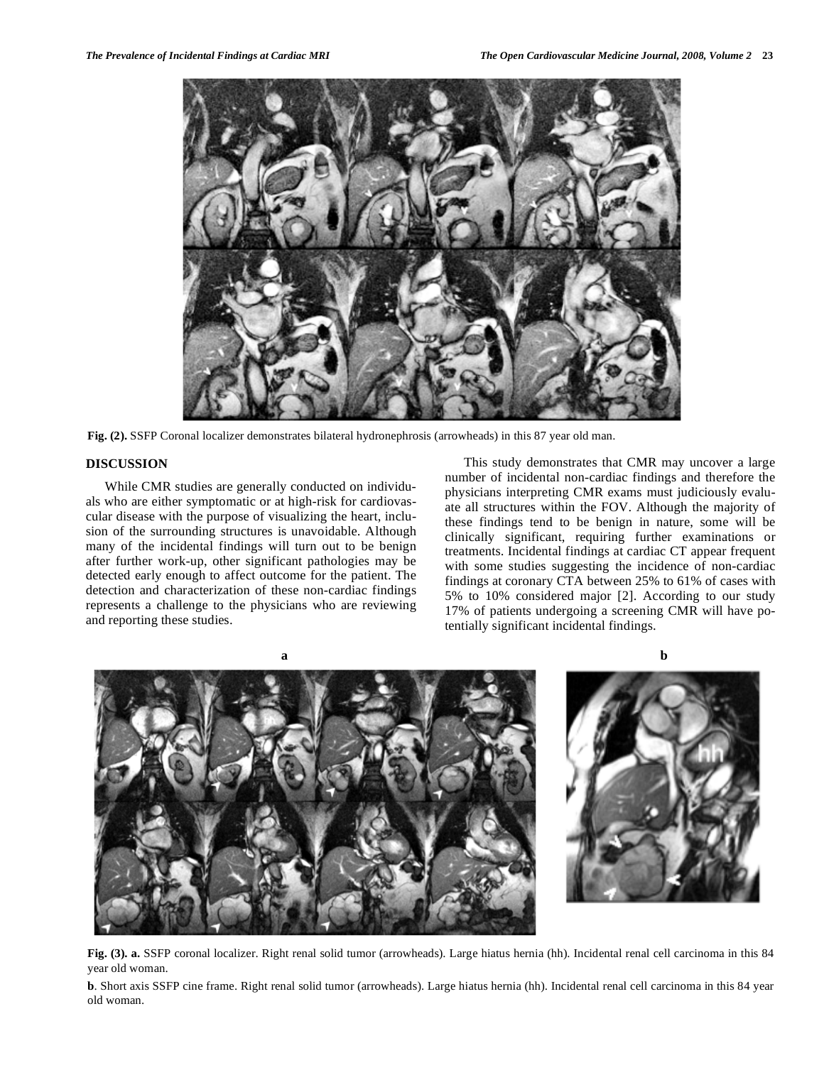

**Fig. (2).** SSFP Coronal localizer demonstrates bilateral hydronephrosis (arrowheads) in this 87 year old man.

# **DISCUSSION**

 While CMR studies are generally conducted on individuals who are either symptomatic or at high-risk for cardiovascular disease with the purpose of visualizing the heart, inclusion of the surrounding structures is unavoidable. Although many of the incidental findings will turn out to be benign after further work-up, other significant pathologies may be detected early enough to affect outcome for the patient. The detection and characterization of these non-cardiac findings represents a challenge to the physicians who are reviewing and reporting these studies.

 This study demonstrates that CMR may uncover a large number of incidental non-cardiac findings and therefore the physicians interpreting CMR exams must judiciously evaluate all structures within the FOV. Although the majority of these findings tend to be benign in nature, some will be clinically significant, requiring further examinations or treatments. Incidental findings at cardiac CT appear frequent with some studies suggesting the incidence of non-cardiac findings at coronary CTA between 25% to 61% of cases with 5% to 10% considered major [2]. According to our study 17% of patients undergoing a screening CMR will have potentially significant incidental findings.



**Fig. (3). a.** SSFP coronal localizer. Right renal solid tumor (arrowheads). Large hiatus hernia (hh). Incidental renal cell carcinoma in this 84 year old woman.

**b**. Short axis SSFP cine frame. Right renal solid tumor (arrowheads). Large hiatus hernia (hh). Incidental renal cell carcinoma in this 84 year old woman.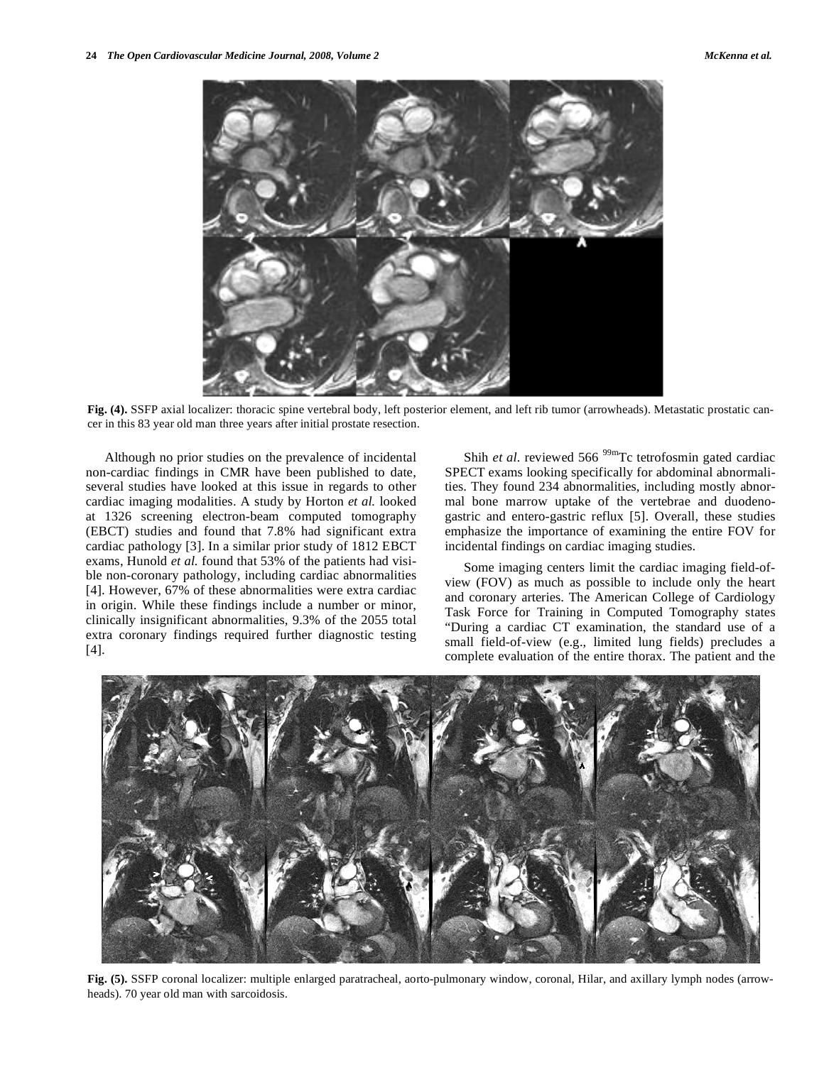

**Fig. (4).** SSFP axial localizer: thoracic spine vertebral body, left posterior element, and left rib tumor (arrowheads). Metastatic prostatic cancer in this 83 year old man three years after initial prostate resection.

 Although no prior studies on the prevalence of incidental non-cardiac findings in CMR have been published to date, several studies have looked at this issue in regards to other cardiac imaging modalities. A study by Horton *et al.* looked at 1326 screening electron-beam computed tomography (EBCT) studies and found that 7.8% had significant extra cardiac pathology [3]. In a similar prior study of 1812 EBCT exams, Hunold *et al.* found that 53% of the patients had visible non-coronary pathology, including cardiac abnormalities [4]. However, 67% of these abnormalities were extra cardiac in origin. While these findings include a number or minor, clinically insignificant abnormalities, 9.3% of the 2055 total extra coronary findings required further diagnostic testing [4].

Shih *et al.* reviewed 566<sup>99m</sup>Tc tetrofosmin gated cardiac SPECT exams looking specifically for abdominal abnormalities. They found 234 abnormalities, including mostly abnormal bone marrow uptake of the vertebrae and duodenogastric and entero-gastric reflux [5]. Overall, these studies emphasize the importance of examining the entire FOV for incidental findings on cardiac imaging studies.

 Some imaging centers limit the cardiac imaging field-ofview (FOV) as much as possible to include only the heart and coronary arteries. The American College of Cardiology Task Force for Training in Computed Tomography states "During a cardiac CT examination, the standard use of a small field-of-view (e.g., limited lung fields) precludes a complete evaluation of the entire thorax. The patient and the



**Fig. (5).** SSFP coronal localizer: multiple enlarged paratracheal, aorto-pulmonary window, coronal, Hilar, and axillary lymph nodes (arrowheads). 70 year old man with sarcoidosis.